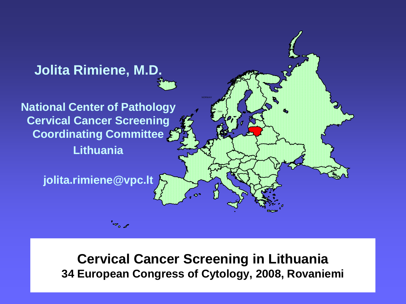

**Cervical Cancer Screening in Lithuania 34 European Congress of Cytology, 2008, Rovaniemi**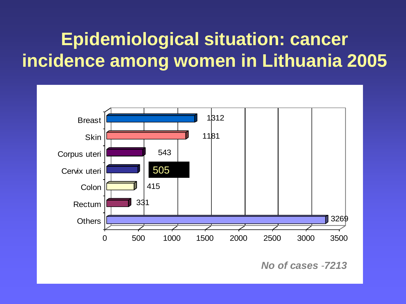#### **Epidemiological situation: cancer incidence among women in Lithuania 2005**



*No of cases -7213*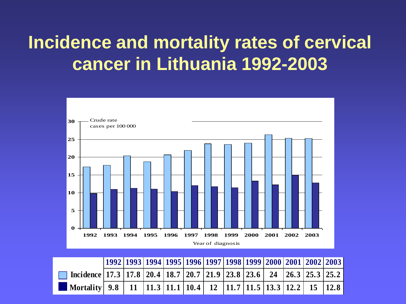#### **Incidence and mortality rates of cervical**  cancer in Lithuania 1992-2003



|                                                                                             | $1$ can or $q$ and $q$ in $q$ is not |                                                                                   |  |  |  |  |  |  |  |  |
|---------------------------------------------------------------------------------------------|--------------------------------------|-----------------------------------------------------------------------------------|--|--|--|--|--|--|--|--|
|                                                                                             |                                      |                                                                                   |  |  |  |  |  |  |  |  |
|                                                                                             |                                      | 1992   1993   1994   1995   1996   1997   1998   1999   2000   2001   2002   2003 |  |  |  |  |  |  |  |  |
| Incidence   17.3   17.8   20.4   18.7   20.7   21.9   23.8   23.6   24   26.3   25.3   25.2 |                                      |                                                                                   |  |  |  |  |  |  |  |  |
| Mortality   9.8   11   11.3   11.1   10.4   12   11.7   11.5   13.3   12.2   15   12.8      |                                      |                                                                                   |  |  |  |  |  |  |  |  |
|                                                                                             |                                      |                                                                                   |  |  |  |  |  |  |  |  |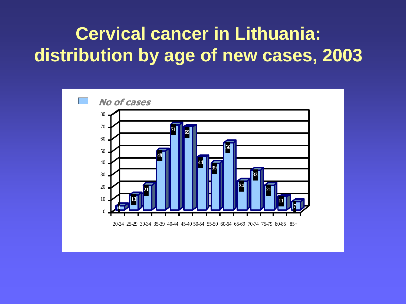## **Cervical cancer in Lithuania: distribution by age of new cases, 2003**

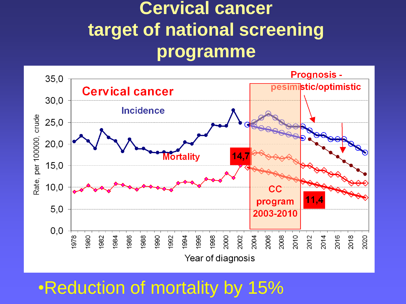#### **Cervical cancer target of national screening programme**



#### •Reduction of mortality by 15%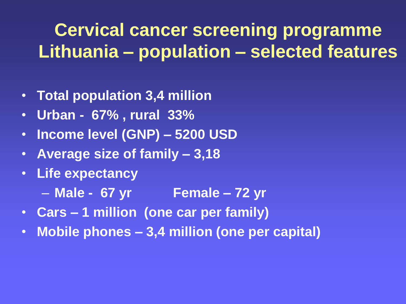#### **Cervical cancer screening programme Lithuania – population – selected features**

- **Total population 3,4 million**
- **Urban - 67% , rural 33%**
- **Income level (GNP) – 5200 USD**
- **Average size of family – 3,18**
- **Life expectancy**
	- **Male - 67 yr Female – 72 yr**
- **Cars – 1 million (one car per family)**
- **Mobile phones – 3,4 million (one per capital)**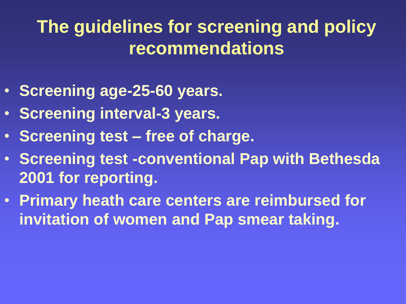## **The guidelines for screening and policy recommendations**

- **Screening age-25-60 years.**
- **Screening interval-3 years.**
- **Screening test – free of charge.**
- **Screening test -conventional Pap with Bethesda 2001 for reporting.**
- **Primary heath care centers are reimbursed for invitation of women and Pap smear taking.**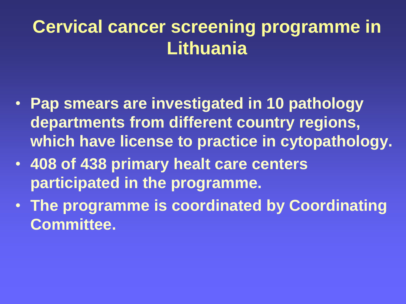## **Cervical cancer screening programme in Lithuania**

- **Pap smears are investigated in 10 pathology departments from different country regions, which have license to practice in cytopathology.**
- **408 of 438 primary healt care centers participated in the programme.**
- **The programme is coordinated by Coordinating Committee.**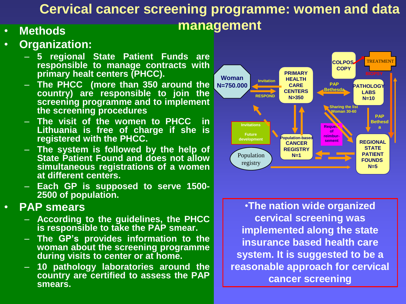#### **Cervical cancer screening programme: women and data management**

#### • **Methods** • **Organization:**

- **5 regional State Patient Funds are responsible to manage contracts with primary healt centers (PHCC).**
- **The PHCC (more than 350 around the country) are responsible to join the screening programme and to implement the screening procedures**
- **The visit of the women to PHCC in Lithuania is free of charge if she is registered with the PHCC.**
- **The system is followed by the help of State Patient Found and does not allow simultaneous registrations of a women at different centers.**
- **Each GP is supposed to serve 1500- 2500 of population.**

#### • **PAP smears**

- **According to the guidelines, the PHCC is responsible to take the PAP smear.**
- **The GP's provides information to the woman about the screening programme during visits to center or at home.**
- **10 pathology laboratories around the country are certified to assess the PAP smears.**



•**The nation wide organized cervical screening was implemented along the state insurance based health care system. It is suggested to be a reasonable approach for cervical cancer screening**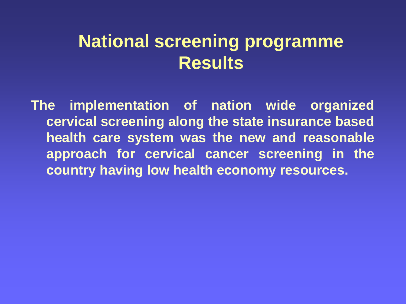#### **National screening programme Results**

**The implementation of nation wide organized cervical screening along the state insurance based health care system was the new and reasonable approach for cervical cancer screening in the country having low health economy resources.**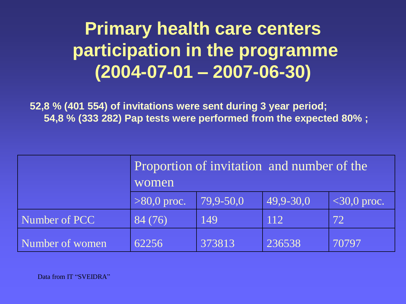## **Primary health care centers participation in the programme (2004-07-01 – 2007-06-30)**

**52,8 % (401 554) of invitations were sent during 3 year period; 54,8 % (333 282) Pap tests were performed from the expected 80% ;**

|                 | Proportion of invitation and number of the<br>women |           |           |               |  |  |  |  |
|-----------------|-----------------------------------------------------|-----------|-----------|---------------|--|--|--|--|
|                 | $>80,0$ proc.                                       | 79,9-50,0 | 49,9-30,0 | $<30,0$ proc. |  |  |  |  |
| Number of PCC   | 84 (76)                                             | 149       | 112       | 72            |  |  |  |  |
| Number of women | 62256                                               | 373813    | 236538    | 70797         |  |  |  |  |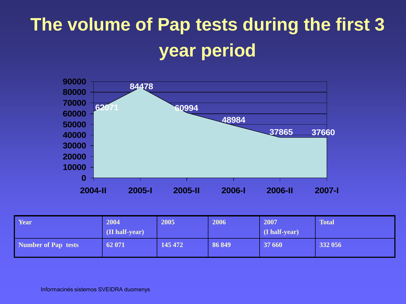# **The volume of Pap tests during the first 3 year period**



| Year                | 2004<br>(II half-year) | 2005    | 2006   | 2007<br>(I half-year) | Total   |
|---------------------|------------------------|---------|--------|-----------------------|---------|
| Number of Pap tests | 62 071                 | 145 472 | 86 849 | 37 660                | 332 056 |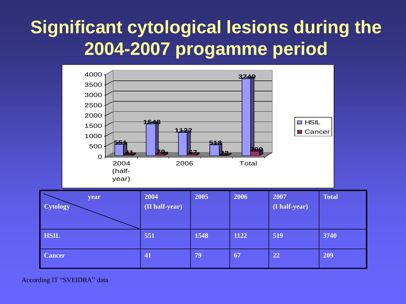## **Significant cytological lesions during the 2004-2007 progamme period**



| <b>HSIL</b>   | 551       | 1548 | 1122 | 519             | 3740 |
|---------------|-----------|------|------|-----------------|------|
| <b>Cancer</b> | <b>41</b> | 79   | 67   | $\overline{22}$ | 209  |

According IT "SVEIDRA" data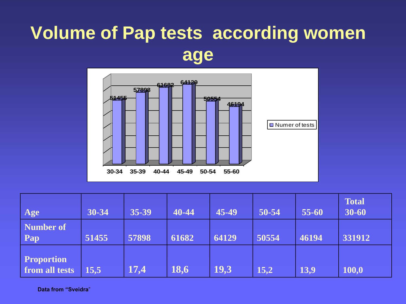#### **Volume of Pap tests according women age**



| <b>Age</b>                          | 30-34 | 35-39 | 40-44 | 45-49 | 50-54 | 55-60 | <b>Total</b><br>$30 - 60$ |
|-------------------------------------|-------|-------|-------|-------|-------|-------|---------------------------|
| Number of<br>Pap                    | 51455 | 57898 | 61682 | 64129 | 50554 | 46194 | 331912                    |
| <b>Proportion</b><br>from all tests | 15,5  | 17,4  | 18,6  | 19,3  | 15,2  | 13,9  | 100,0                     |

**Data from "Sveidra**"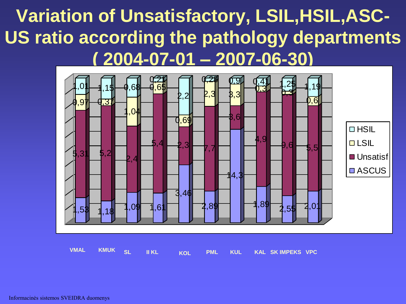#### **Variation of Unsatisfactory, LSIL,HSIL,ASC-US ratio according the pathology departments ( 2004-07-01 – 2007-06-30)**

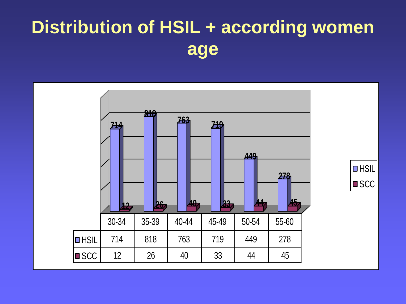## **Distribution of HSIL + according women age**

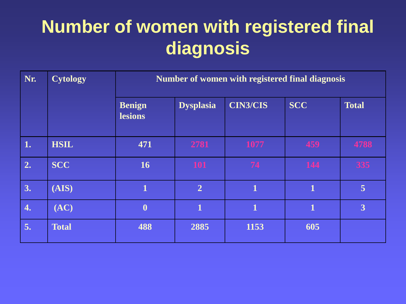## **Number of women with registered final diagnosis**

| Nr. | <b>Cytology</b> | Number of women with registered final diagnosis |                  |                 |              |                |  |  |
|-----|-----------------|-------------------------------------------------|------------------|-----------------|--------------|----------------|--|--|
|     |                 | <b>Benign</b><br><b>lesions</b>                 | <b>Dysplasia</b> | <b>CIN3/CIS</b> | <b>SCC</b>   | <b>Total</b>   |  |  |
| 1.  | <b>HSIL</b>     | 471                                             | 2781             | 1077            | 459          | 4788           |  |  |
| 2.  | <b>SCC</b>      | 16                                              | <b>101</b>       | 74              | 144          | 335            |  |  |
| 3.  | (ALS)           | $\overline{\mathbf{1}}$                         | $\overline{2}$   | 1               | $\mathbf{1}$ | $\overline{5}$ |  |  |
| 4.  | (AC)            | $\boldsymbol{0}$                                | $\overline{1}$   | 1               | $\mathbf{1}$ | $\overline{3}$ |  |  |
| 5.  | <b>Total</b>    | 488                                             | 2885             | 1153            | 605          |                |  |  |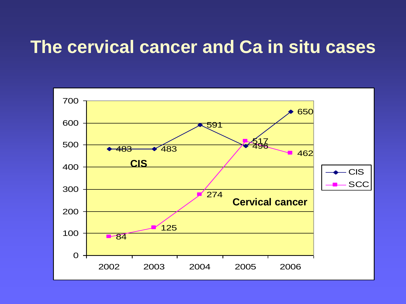#### **The cervical cancer and Ca in situ cases**

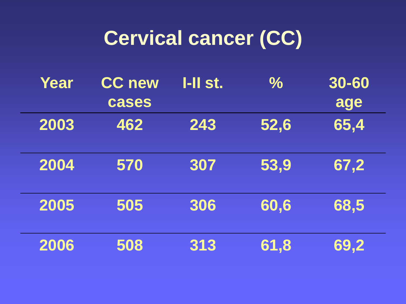# **Cervical cancer (CC)**

| Year | <b>CC new</b><br>cases | $I$ -II st. | $\frac{0}{0}$ | 30-60<br>age |
|------|------------------------|-------------|---------------|--------------|
| 2003 | 462                    | 243         | 52,6          | 65,4         |
| 2004 | 570                    | 307         | 53,9          | 67,2         |
| 2005 | 505                    | 306         | 60,6          | 68,5         |
| 2006 | 508                    | 313         | 61,8          | 69,2         |